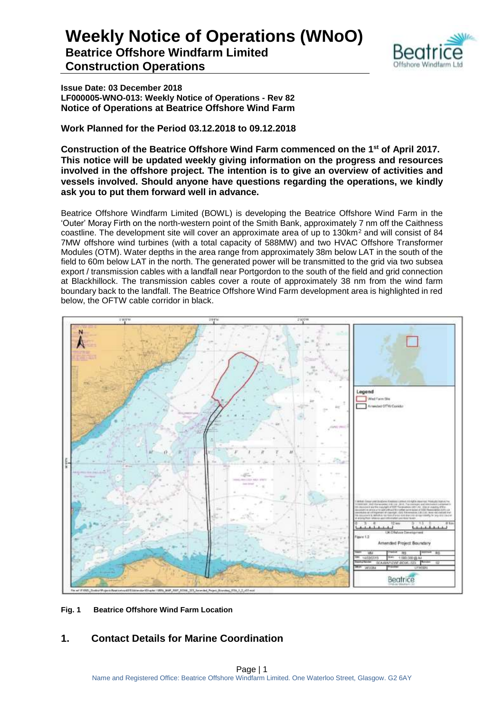

**Beatrice Offshore Windfarm Limited Construction Operations**

**Issue Date: 03 December 2018 LF000005-WNO-013: Weekly Notice of Operations - Rev 82 Notice of Operations at Beatrice Offshore Wind Farm**

**Work Planned for the Period 03.12.2018 to 09.12.2018**

**Construction of the Beatrice Offshore Wind Farm commenced on the 1 st of April 2017. This notice will be updated weekly giving information on the progress and resources involved in the offshore project. The intention is to give an overview of activities and vessels involved. Should anyone have questions regarding the operations, we kindly ask you to put them forward well in advance.** 

Beatrice Offshore Windfarm Limited (BOWL) is developing the Beatrice Offshore Wind Farm in the 'Outer' Moray Firth on the north-western point of the Smith Bank, approximately 7 nm off the Caithness coastline. The development site will cover an approximate area of up to 130km<sup>2</sup> and will consist of 84 7MW offshore wind turbines (with a total capacity of 588MW) and two HVAC Offshore Transformer Modules (OTM). Water depths in the area range from approximately 38m below LAT in the south of the field to 60m below LAT in the north. The generated power will be transmitted to the grid via two subsea export / transmission cables with a landfall near Portgordon to the south of the field and grid connection at Blackhillock. The transmission cables cover a route of approximately 38 nm from the wind farm boundary back to the landfall. The Beatrice Offshore Wind Farm development area is highlighted in red below, the OFTW cable corridor in black.



**Fig. 1 Beatrice Offshore Wind Farm Location**

#### **1. Contact Details for Marine Coordination**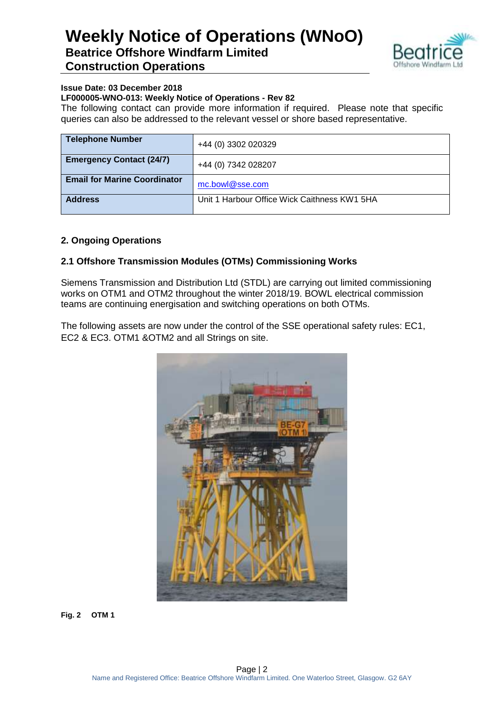

#### **Issue Date: 03 December 2018**

#### **LF000005-WNO-013: Weekly Notice of Operations - Rev 82**

The following contact can provide more information if required. Please note that specific queries can also be addressed to the relevant vessel or shore based representative.

| <b>Telephone Number</b>             | +44 (0) 3302 020329                          |
|-------------------------------------|----------------------------------------------|
| <b>Emergency Contact (24/7)</b>     | +44 (0) 7342 028207                          |
| <b>Email for Marine Coordinator</b> | mc.bowl@sse.com                              |
| <b>Address</b>                      | Unit 1 Harbour Office Wick Caithness KW1 5HA |

#### **2. Ongoing Operations**

#### **2.1 Offshore Transmission Modules (OTMs) Commissioning Works**

Siemens Transmission and Distribution Ltd (STDL) are carrying out limited commissioning works on OTM1 and OTM2 throughout the winter 2018/19. BOWL electrical commission teams are continuing energisation and switching operations on both OTMs.

The following assets are now under the control of the SSE operational safety rules: EC1, EC2 & EC3. OTM1 &OTM2 and all Strings on site.



**Fig. 2 OTM 1**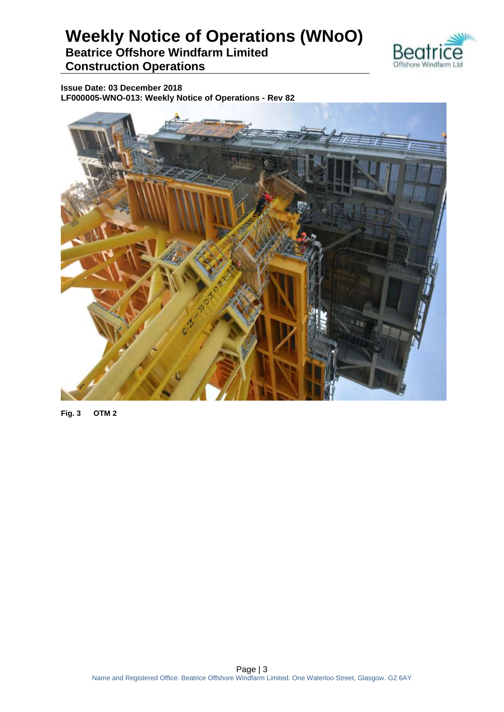

**Beatrice Offshore Windfarm Limited Construction Operations**

**Issue Date: 03 December 2018 LF000005-WNO-013: Weekly Notice of Operations - Rev 82**



**Fig. 3 OTM 2**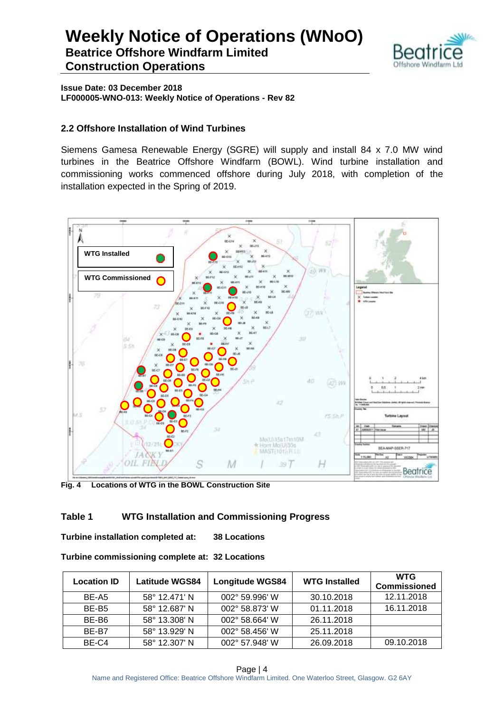

**Issue Date: 03 December 2018 LF000005-WNO-013: Weekly Notice of Operations - Rev 82**

#### **2.2 Offshore Installation of Wind Turbines**

Siemens Gamesa Renewable Energy (SGRE) will supply and install 84 x 7.0 MW wind turbines in the Beatrice Offshore Windfarm (BOWL). Wind turbine installation and commissioning works commenced offshore during July 2018, with completion of the installation expected in the Spring of 2019.



**Fig. 4 Locations of WTG in the BOWL Construction Site**

#### **Table 1 WTG Installation and Commissioning Progress**

**Turbine installation completed at: 38 Locations**

| Turbine commissioning complete at: 32 Locations |  |  |
|-------------------------------------------------|--|--|
|-------------------------------------------------|--|--|

| <b>Location ID</b> | <b>Latitude WGS84</b> | <b>Longitude WGS84</b> | <b>WTG Installed</b> | <b>WTG</b><br><b>Commissioned</b> |
|--------------------|-----------------------|------------------------|----------------------|-----------------------------------|
| BE-A5              | 58° 12.471' N         | 002° 59.996' W         | 30.10.2018           | 12.11.2018                        |
| BE-B <sub>5</sub>  | 58° 12.687' N         | 002° 58.873' W         | 01.11.2018           | 16.11.2018                        |
| BE-B6              | 58° 13.308' N         | 002° 58.664' W         | 26.11.2018           |                                   |
| BE-B7              | 58° 13.929' N         | 002° 58.456' W         | 25.11.2018           |                                   |
| BE-C4              | 58° 12.307' N         | 002° 57.948' W         | 26.09.2018           | 09.10.2018                        |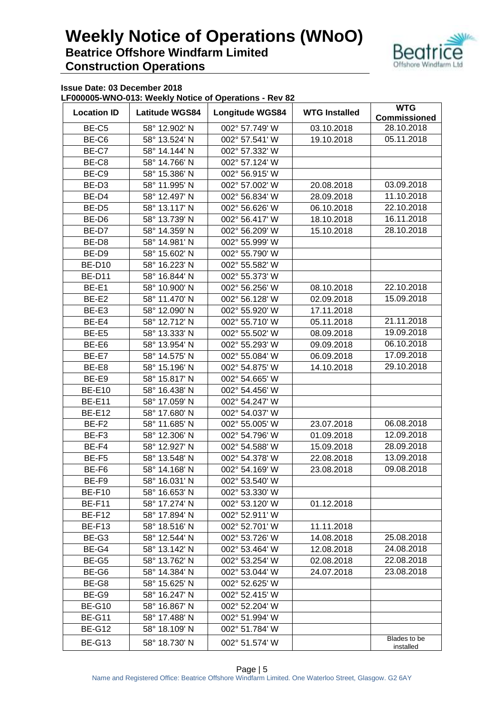

**Issue Date: 03 December 2018**

**LF000005-WNO-013: Weekly Notice of Operations - Rev 82**

| <b>Location ID</b> | <b>Latitude WGS84</b> | $\frac{1}{2}$<br><b>Longitude WGS84</b> | <b>WTG Installed</b> | <b>WTG</b>                |
|--------------------|-----------------------|-----------------------------------------|----------------------|---------------------------|
|                    |                       |                                         |                      | <b>Commissioned</b>       |
| BE-C5              | 58° 12.902' N         | 002° 57.749' W                          | 03.10.2018           | 28.10.2018                |
| BE-C6              | 58° 13.524' N         | 002° 57.541' W                          | 19.10.2018           | 05.11.2018                |
| BE-C7              | 58° 14.144' N         | 002° 57.332' W                          |                      |                           |
| BE-C8              | 58° 14.766' N         | 002° 57.124' W                          |                      |                           |
| BE-C9              | 58° 15.386' N         | 002° 56.915' W                          |                      |                           |
| BE-D <sub>3</sub>  | 58° 11.995' N         | 002° 57.002' W                          | 20.08.2018           | 03.09.2018                |
| BE-D4              | 58° 12.497' N         | 002° 56.834' W                          | 28.09.2018           | 11.10.2018                |
| BE-D <sub>5</sub>  | 58° 13.117' N         | 002° 56.626' W                          | 06.10.2018           | 22.10.2018                |
| BE-D6              | 58° 13.739' N         | 002° 56.417' W                          | 18.10.2018           | 16.11.2018                |
| BE-D7              | 58° 14.359' N         | 002° 56.209' W                          | 15.10.2018           | 28.10.2018                |
| BE-D8              | 58° 14.981' N         | 002° 55.999' W                          |                      |                           |
| BE-D9              | 58° 15.602' N         | 002° 55.790' W                          |                      |                           |
| <b>BE-D10</b>      | 58° 16.223' N         | 002° 55.582' W                          |                      |                           |
| <b>BE-D11</b>      | 58° 16.844' N         | 002° 55.373' W                          |                      |                           |
| BE-E1              | 58° 10.900' N         | 002° 56.256' W                          | 08.10.2018           | 22.10.2018                |
| BE-E2              | 58° 11.470' N         | 002° 56.128' W                          | 02.09.2018           | 15.09.2018                |
| BE-E3              | 58° 12.090' N         | 002° 55.920' W                          | 17.11.2018           |                           |
| BE-E4              | 58° 12.712' N         | 002° 55.710' W                          | 05.11.2018           | 21.11.2018                |
| BE-E5              | 58° 13.333' N         | 002° 55.502' W                          | 08.09.2018           | 19.09.2018                |
| BE-E6              | 58° 13.954' N         | 002° 55.293' W                          | 09.09.2018           | 06.10.2018                |
| BE-E7              | 58° 14.575' N         | 002° 55.084' W                          | 06.09.2018           | 17.09.2018                |
| BE-E8              | 58° 15.196' N         | 002° 54.875' W                          | 14.10.2018           | 29.10.2018                |
| BE-E9              | 58° 15.817' N         | 002° 54.665' W                          |                      |                           |
| <b>BE-E10</b>      | 58° 16.438' N         | 002° 54.456' W                          |                      |                           |
| <b>BE-E11</b>      | 58° 17.059' N         | 002° 54.247' W                          |                      |                           |
| <b>BE-E12</b>      | 58° 17.680' N         | 002° 54.037' W                          |                      |                           |
| BE-F <sub>2</sub>  | 58° 11.685' N         | 002° 55.005' W                          | 23.07.2018           | 06.08.2018                |
| BE-F3              | 58° 12.306' N         | 002° 54.796' W                          | 01.09.2018           | 12.09.2018                |
| BE-F4              | 58° 12.927' N         | 002° 54.588' W                          | 15.09.2018           | 28.09.2018                |
| BE-F5              | 58° 13.548' N         | 002° 54.378' W                          | 22.08.2018           | 13.09.2018                |
| BE-F6              | 58° 14.168' N         | 002° 54.169' W                          | 23.08.2018           | 09.08.2018                |
| BE-F9              | 58° 16.031' N         | 002° 53.540' W                          |                      |                           |
| <b>BE-F10</b>      | 58° 16.653' N         | 002° 53.330' W                          |                      |                           |
| <b>BE-F11</b>      | 58° 17.274' N         | 002° 53.120' W                          | 01.12.2018           |                           |
| <b>BE-F12</b>      | 58° 17.894' N         | 002° 52.911' W                          |                      |                           |
| <b>BE-F13</b>      | 58° 18.516' N         | 002° 52.701' W                          | 11.11.2018           |                           |
| BE-G3              | 58° 12.544' N         | 002° 53.726' W                          | 14.08.2018           | 25.08.2018                |
| BE-G4              | 58° 13.142' N         | 002° 53.464' W                          | 12.08.2018           | 24.08.2018                |
| BE-G5              | 58° 13.762' N         | 002° 53.254' W                          | 02.08.2018           | 22.08.2018                |
| BE-G6              | 58° 14.384' N         | 002° 53.044' W                          | 24.07.2018           | 23.08.2018                |
| BE-G8              | 58° 15.625' N         | 002° 52.625' W                          |                      |                           |
| BE-G9              | 58° 16.247' N         | 002° 52.415' W                          |                      |                           |
| <b>BE-G10</b>      | 58° 16.867' N         | 002° 52.204' W                          |                      |                           |
| <b>BE-G11</b>      | 58° 17.488' N         | 002° 51.994' W                          |                      |                           |
| <b>BE-G12</b>      | 58° 18.109' N         | 002° 51.784' W                          |                      |                           |
| <b>BE-G13</b>      | 58° 18.730' N         | 002° 51.574' W                          |                      | Blades to be<br>installed |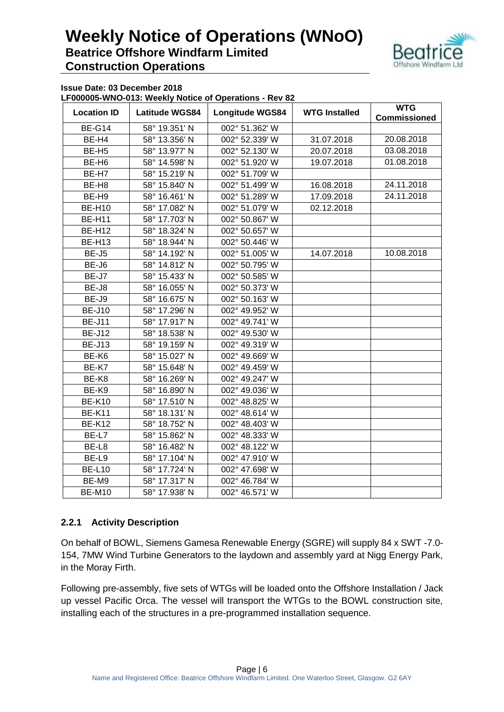

**Issue Date: 03 December 2018**

#### **LF000005-WNO-013: Weekly Notice of Operations - Rev 82**

| <b>Location ID</b> | <b>Latitude WGS84</b> | $\frac{1}{2}$<br><b>Longitude WGS84</b> | <b>WTG Installed</b> | <b>WTG</b><br><b>Commissioned</b> |
|--------------------|-----------------------|-----------------------------------------|----------------------|-----------------------------------|
| <b>BE-G14</b>      | 58° 19.351' N         | 002° 51.362' W                          |                      |                                   |
| BE-H4              | 58° 13.356' N         | 002° 52.339' W                          | 31.07.2018           | 20.08.2018                        |
| BE-H <sub>5</sub>  | 58° 13.977' N         | 002° 52.130' W                          | 20.07.2018           | 03.08.2018                        |
| BE-H <sub>6</sub>  | 58° 14.598' N         | 002° 51.920' W                          | 19.07.2018           | 01.08.2018                        |
| BE-H7              | 58° 15.219' N         | 002° 51.709' W                          |                      |                                   |
| BE-H <sub>8</sub>  | 58° 15.840' N         | 002° 51.499' W                          | 16.08.2018           | 24.11.2018                        |
| BE-H9              | 58° 16.461' N         | 002° 51.289' W                          | 17.09.2018           | 24.11.2018                        |
| <b>BE-H10</b>      | 58° 17.082' N         | 002° 51.079' W                          | 02.12.2018           |                                   |
| <b>BE-H11</b>      | 58° 17.703' N         | 002° 50.867' W                          |                      |                                   |
| <b>BE-H12</b>      | 58° 18.324' N         | 002° 50.657' W                          |                      |                                   |
| <b>BE-H13</b>      | 58° 18.944' N         | 002° 50.446' W                          |                      |                                   |
| BE-J5              | 58° 14.192' N         | 002° 51.005' W                          | 14.07.2018           | 10.08.2018                        |
| BE-J6              | 58° 14.812' N         | 002° 50.795' W                          |                      |                                   |
| BE-J7              | 58° 15.433' N         | 002° 50.585' W                          |                      |                                   |
| BE-J8              | 58° 16.055' N         | 002° 50.373' W                          |                      |                                   |
| BE-J9              | 58° 16.675' N         | 002° 50.163' W                          |                      |                                   |
| <b>BE-J10</b>      | 58° 17.296' N         | 002° 49.952' W                          |                      |                                   |
| <b>BE-J11</b>      | 58° 17.917' N         | 002° 49.741' W                          |                      |                                   |
| <b>BE-J12</b>      | 58° 18.538' N         | 002° 49.530' W                          |                      |                                   |
| <b>BE-J13</b>      | 58° 19.159' N         | 002° 49.319' W                          |                      |                                   |
| BE-K6              | 58° 15.027' N         | 002° 49.669' W                          |                      |                                   |
| BE-K7              | 58° 15.648' N         | 002° 49.459' W                          |                      |                                   |
| BE-K8              | 58° 16.269' N         | 002° 49.247' W                          |                      |                                   |
| BE-K9              | 58° 16.890' N         | 002° 49.036' W                          |                      |                                   |
| <b>BE-K10</b>      | 58° 17.510' N         | 002° 48.825' W                          |                      |                                   |
| <b>BE-K11</b>      | 58° 18.131' N         | 002° 48.614' W                          |                      |                                   |
| <b>BE-K12</b>      | 58° 18.752' N         | 002° 48.403' W                          |                      |                                   |
| BE-L7              | 58° 15.862' N         | 002° 48.333' W                          |                      |                                   |
| BE-L8              | 58° 16.482' N         | 002° 48.122' W                          |                      |                                   |
| BE-L9              | 58° 17.104' N         | 002° 47.910' W                          |                      |                                   |
| <b>BE-L10</b>      | 58° 17.724' N         | 002° 47.698' W                          |                      |                                   |
| BE-M9              | 58° 17.317' N         | 002° 46.784' W                          |                      |                                   |
| <b>BE-M10</b>      | 58° 17.938' N         | 002° 46.571' W                          |                      |                                   |

#### **2.2.1 Activity Description**

On behalf of BOWL, Siemens Gamesa Renewable Energy (SGRE) will supply 84 x SWT -7.0- 154, 7MW Wind Turbine Generators to the laydown and assembly yard at Nigg Energy Park, in the Moray Firth.

Following pre-assembly, five sets of WTGs will be loaded onto the Offshore Installation / Jack up vessel Pacific Orca. The vessel will transport the WTGs to the BOWL construction site, installing each of the structures in a pre-programmed installation sequence.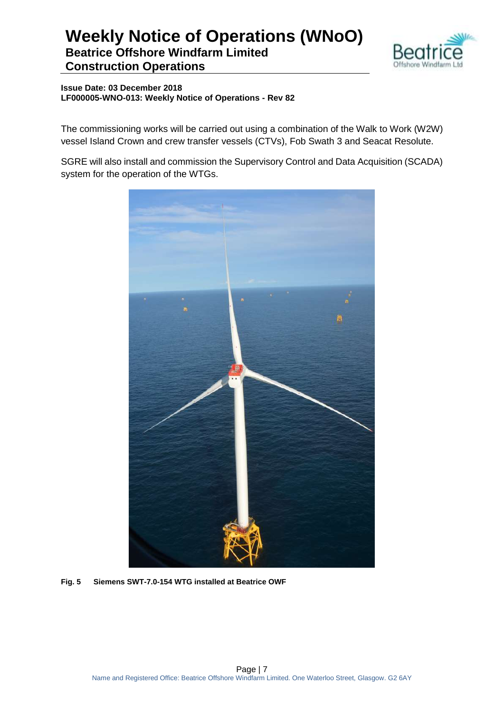

**Issue Date: 03 December 2018 LF000005-WNO-013: Weekly Notice of Operations - Rev 82**

The commissioning works will be carried out using a combination of the Walk to Work (W2W) vessel Island Crown and crew transfer vessels (CTVs), Fob Swath 3 and Seacat Resolute.

SGRE will also install and commission the Supervisory Control and Data Acquisition (SCADA) system for the operation of the WTGs.



**Fig. 5 Siemens SWT-7.0-154 WTG installed at Beatrice OWF**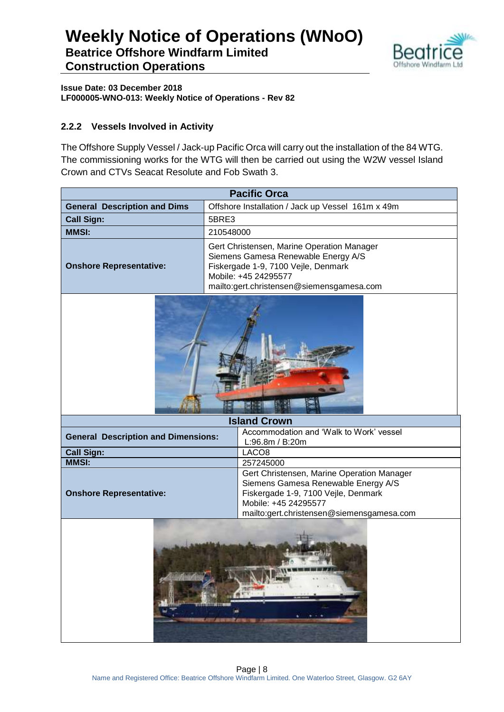

**Issue Date: 03 December 2018 LF000005-WNO-013: Weekly Notice of Operations - Rev 82**

#### **2.2.2 Vessels Involved in Activity**

The Offshore Supply Vessel / Jack-up Pacific Orca will carry out the installation of the 84 WTG. The commissioning works for the WTG will then be carried out using the W2W vessel Island Crown and CTVs Seacat Resolute and Fob Swath 3.

|                                            | <b>Pacific Orca</b>                                                                                                                                                                           |  |
|--------------------------------------------|-----------------------------------------------------------------------------------------------------------------------------------------------------------------------------------------------|--|
| <b>General Description and Dims</b>        | Offshore Installation / Jack up Vessel 161m x 49m                                                                                                                                             |  |
| <b>Call Sign:</b>                          | 5BRE3                                                                                                                                                                                         |  |
| <b>MMSI:</b>                               | 210548000                                                                                                                                                                                     |  |
| <b>Onshore Representative:</b>             | Gert Christensen, Marine Operation Manager<br>Siemens Gamesa Renewable Energy A/S<br>Fiskergade 1-9, 7100 Vejle, Denmark<br>Mobile: +45 24295577<br>mailto:gert.christensen@siemensgamesa.com |  |
|                                            |                                                                                                                                                                                               |  |
| <b>Island Crown</b>                        |                                                                                                                                                                                               |  |
| <b>General Description and Dimensions:</b> | Accommodation and 'Walk to Work' vessel<br>L:96.8m / B:20m                                                                                                                                    |  |
| <b>Call Sign:</b>                          | LACO <sub>8</sub>                                                                                                                                                                             |  |
| <b>MMSI:</b>                               | 257245000                                                                                                                                                                                     |  |
| <b>Onshore Representative:</b>             | Gert Christensen, Marine Operation Manager<br>Siemens Gamesa Renewable Energy A/S<br>Fiskergade 1-9, 7100 Vejle, Denmark<br>Mobile: +45 24295577<br>mailto:gert.christensen@siemensgamesa.com |  |
| 经应用的                                       |                                                                                                                                                                                               |  |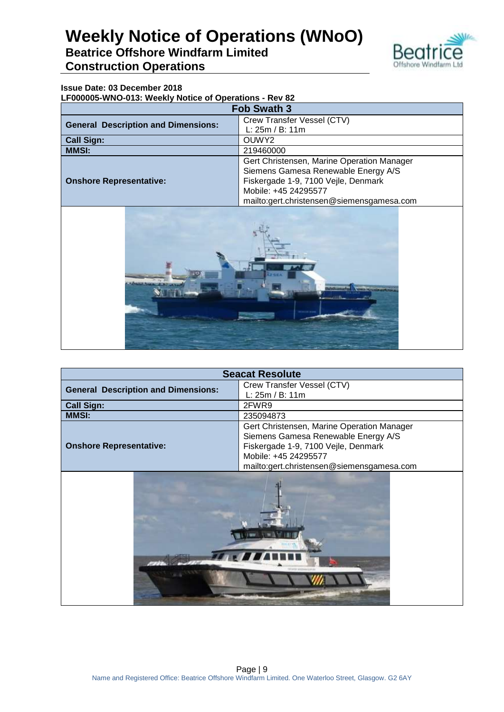

### **Beatrice Offshore Windfarm Limited Construction Operations**

#### **Issue Date: 03 December 2018**

**LF000005-WNO-013: Weekly Notice of Operations - Rev 82**

| <b>Fob Swath 3</b>                         |                                            |  |
|--------------------------------------------|--------------------------------------------|--|
| <b>General Description and Dimensions:</b> | Crew Transfer Vessel (CTV)                 |  |
|                                            | L: 25m / B: 11m                            |  |
| <b>Call Sign:</b><br>OUWY <sub>2</sub>     |                                            |  |
| <b>MMSI:</b><br>219460000                  |                                            |  |
|                                            | Gert Christensen, Marine Operation Manager |  |
|                                            | Siemens Gamesa Renewable Energy A/S        |  |
| <b>Onshore Representative:</b>             | Fiskergade 1-9, 7100 Vejle, Denmark        |  |
|                                            | Mobile: +45 24295577                       |  |
|                                            | mailto:gert.christensen@siemensgamesa.com  |  |



| <b>Seacat Resolute</b>                     |                                            |  |
|--------------------------------------------|--------------------------------------------|--|
| <b>General Description and Dimensions:</b> | Crew Transfer Vessel (CTV)                 |  |
|                                            | L: 25m / B: 11m                            |  |
| <b>Call Sign:</b>                          | 2FWR9                                      |  |
| <b>MMSI:</b>                               | 235094873                                  |  |
|                                            | Gert Christensen, Marine Operation Manager |  |
|                                            | Siemens Gamesa Renewable Energy A/S        |  |
| <b>Onshore Representative:</b>             | Fiskergade 1-9, 7100 Vejle, Denmark        |  |
|                                            | Mobile: +45 24295577                       |  |
|                                            | mailto:gert.christensen@siemensgamesa.com  |  |
|                                            |                                            |  |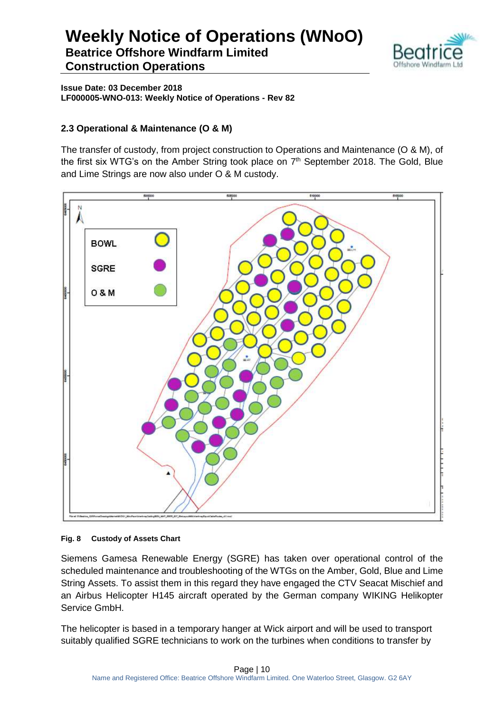

**Issue Date: 03 December 2018 LF000005-WNO-013: Weekly Notice of Operations - Rev 82**

#### **2.3 Operational & Maintenance (O & M)**

The transfer of custody, from project construction to Operations and Maintenance (O & M), of the first six WTG's on the Amber String took place on 7<sup>th</sup> September 2018. The Gold, Blue and Lime Strings are now also under O & M custody.



#### **Fig. 8 Custody of Assets Chart**

Siemens Gamesa Renewable Energy (SGRE) has taken over operational control of the scheduled maintenance and troubleshooting of the WTGs on the Amber, Gold, Blue and Lime String Assets. To assist them in this regard they have engaged the CTV Seacat Mischief and an Airbus Helicopter H145 aircraft operated by the German company WIKING Helikopter Service GmbH.

The helicopter is based in a temporary hanger at Wick airport and will be used to transport suitably qualified SGRE technicians to work on the turbines when conditions to transfer by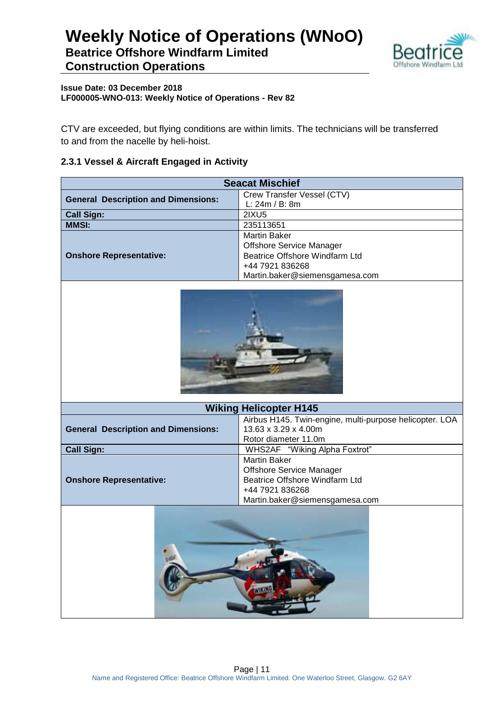

#### **Issue Date: 03 December 2018 LF000005-WNO-013: Weekly Notice of Operations - Rev 82**

CTV are exceeded, but flying conditions are within limits. The technicians will be transferred to and from the nacelle by heli-hoist.

#### **2.3.1 Vessel & Aircraft Engaged in Activity**

| <b>Seacat Mischief</b>                                                                                                                                                          |                                                            |  |
|---------------------------------------------------------------------------------------------------------------------------------------------------------------------------------|------------------------------------------------------------|--|
| <b>General Description and Dimensions:</b>                                                                                                                                      | Crew Transfer Vessel (CTV)                                 |  |
|                                                                                                                                                                                 | L: 24m / B: 8m                                             |  |
| <b>Call Sign:</b>                                                                                                                                                               | 2IXU5                                                      |  |
| <b>MMSI:</b>                                                                                                                                                                    | 235113651                                                  |  |
|                                                                                                                                                                                 | <b>Martin Baker</b>                                        |  |
| <b>Onshore Representative:</b>                                                                                                                                                  | Offshore Service Manager<br>Beatrice Offshore Windfarm Ltd |  |
|                                                                                                                                                                                 | +44 7921 836268                                            |  |
|                                                                                                                                                                                 | Martin.baker@siemensgamesa.com                             |  |
|                                                                                                                                                                                 |                                                            |  |
| <b>Wiking Helicopter H145</b>                                                                                                                                                   |                                                            |  |
| Airbus H145. Twin-engine, multi-purpose helicopter. LOA<br>13.63 x 3.29 x 4.00m<br><b>General Description and Dimensions:</b><br>Rotor diameter 11.0m                           |                                                            |  |
| WHS2AF "Wiking Alpha Foxtrot"<br><b>Call Sign:</b>                                                                                                                              |                                                            |  |
| <b>Martin Baker</b><br><b>Offshore Service Manager</b><br>Beatrice Offshore Windfarm Ltd<br><b>Onshore Representative:</b><br>+44 7921 836268<br>Martin.baker@siemensgamesa.com |                                                            |  |
|                                                                                                                                                                                 | <b>ATTACING</b>                                            |  |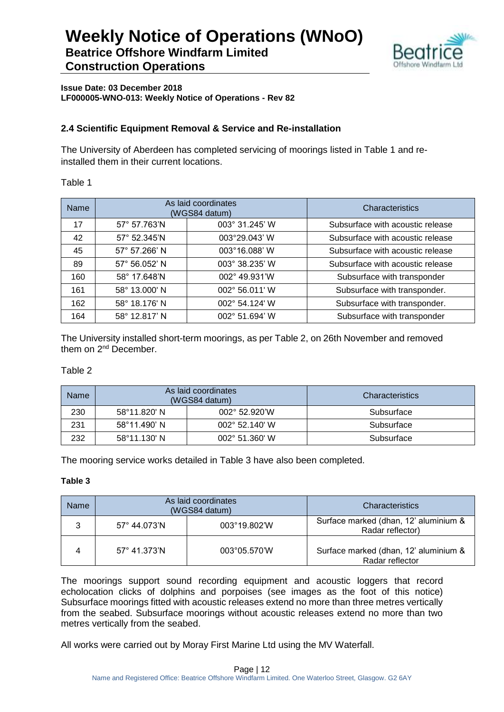

**Issue Date: 03 December 2018 LF000005-WNO-013: Weekly Notice of Operations - Rev 82**

#### **2.4 Scientific Equipment Removal & Service and Re-installation**

The University of Aberdeen has completed servicing of moorings listed in Table 1 and reinstalled them in their current locations.

#### Table 1

| <b>Name</b> | As laid coordinates<br>(WGS84 datum) |                | Characteristics                  |
|-------------|--------------------------------------|----------------|----------------------------------|
| 17          | 57° 57.763'N                         | 003° 31.245' W | Subsurface with acoustic release |
| 42          | 57° 52.345'N                         | 003°29.043' W  | Subsurface with acoustic release |
| 45          | 57° 57.266' N                        | 003°16.088' W  | Subsurface with acoustic release |
| 89          | 57° 56.052' N                        | 003° 38.235' W | Subsurface with acoustic release |
| 160         | 58° 17.648'N                         | 002° 49.931'W  | Subsurface with transponder      |
| 161         | 58° 13.000' N                        | 002° 56.011' W | Subsurface with transponder.     |
| 162         | 58° 18.176' N                        | 002° 54.124' W | Subsurface with transponder.     |
| 164         | 58° 12.817' N                        | 002° 51.694' W | Subsurface with transponder      |

The University installed short-term moorings, as per Table 2, on 26th November and removed them on 2<sup>nd</sup> December.

#### Table 2

| Name | As laid coordinates<br>(WGS84 datum) |                         | Characteristics |
|------|--------------------------------------|-------------------------|-----------------|
| 230  | 58°11.820' N                         | $002^{\circ}$ 52.920'W  | Subsurface      |
| 231  | $58^{\circ}11.490$ ' N               | $002^{\circ}$ 52.140' W | Subsurface      |
| 232  | 58°11.130' N                         | 002° 51.360' W          | Subsurface      |

The mooring service works detailed in Table 3 have also been completed.

#### **Table 3**

| <b>Name</b> | As laid coordinates<br>(WGS84 datum)  |              | Characteristics                                           |
|-------------|---------------------------------------|--------------|-----------------------------------------------------------|
| າ           | 003°19.802'W<br>$57^{\circ}$ 44.073'N |              | Surface marked (dhan, 12' aluminium &<br>Radar reflector) |
|             | $57^{\circ}$ 41.373'N                 | 003°05.570'W | Surface marked (dhan, 12' aluminium &<br>Radar reflector  |

The moorings support sound recording equipment and acoustic loggers that record echolocation clicks of dolphins and porpoises (see images as the foot of this notice) Subsurface moorings fitted with acoustic releases extend no more than three metres vertically from the seabed. Subsurface moorings without acoustic releases extend no more than two metres vertically from the seabed.

All works were carried out by Moray First Marine Ltd using the MV Waterfall.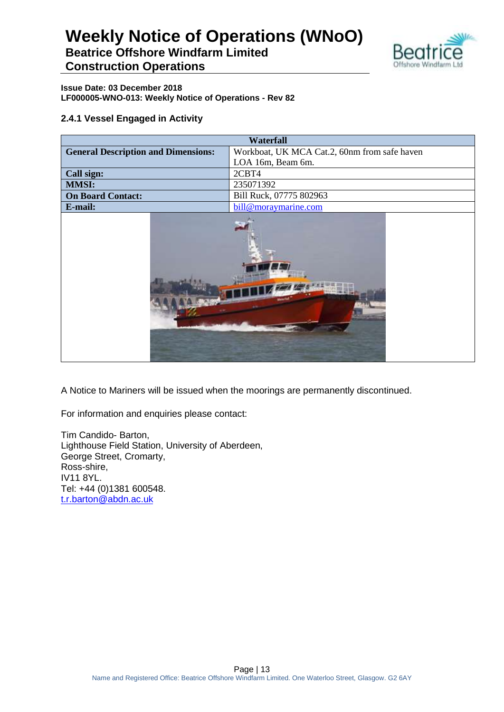### **Weekly Notice of Operations (WNoO) Beatrice Offshore Windfarm Limited**



**Construction Operations**

**Issue Date: 03 December 2018 LF000005-WNO-013: Weekly Notice of Operations - Rev 82**

#### **2.4.1 Vessel Engaged in Activity**

| <b>Waterfall</b>                                    |                                              |  |  |  |  |
|-----------------------------------------------------|----------------------------------------------|--|--|--|--|
| <b>General Description and Dimensions:</b>          | Workboat, UK MCA Cat.2, 60nm from safe haven |  |  |  |  |
|                                                     | LOA 16m, Beam 6m.                            |  |  |  |  |
| Call sign:                                          | 2CBT4                                        |  |  |  |  |
| <b>MMSI:</b>                                        | 235071392                                    |  |  |  |  |
| Bill Ruck, 07775 802963<br><b>On Board Contact:</b> |                                              |  |  |  |  |
| E-mail:                                             | bill@moraymarine.com                         |  |  |  |  |
|                                                     |                                              |  |  |  |  |

A Notice to Mariners will be issued when the moorings are permanently discontinued.

For information and enquiries please contact:

Tim Candido- Barton, Lighthouse Field Station, University of Aberdeen, George Street, Cromarty, Ross-shire, IV11 8YL. Tel: +44 (0)1381 600548. [t.r.barton@abdn.ac.uk](mailto:t.r.barton@abdn.ac.uk)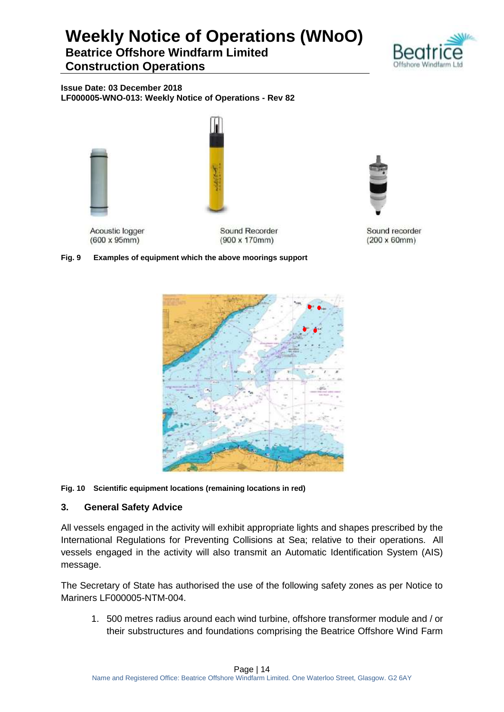### **Beatrice Offshore Windfarm Limited Construction Operations**



**Issue Date: 03 December 2018 LF000005-WNO-013: Weekly Notice of Operations - Rev 82**





Acoustic logger  $(600 \times 95 \text{mm})$ 

Sound Recorder  $(900 \times 170$ mm)

**Fig. 9 Examples of equipment which the above moorings support**



Sound recorder  $(200 \times 60$ mm $)$ 



#### **Fig. 10 Scientific equipment locations (remaining locations in red)**

#### **3. General Safety Advice**

All vessels engaged in the activity will exhibit appropriate lights and shapes prescribed by the International Regulations for Preventing Collisions at Sea; relative to their operations. All vessels engaged in the activity will also transmit an Automatic Identification System (AIS) message.

The Secretary of State has authorised the use of the following safety zones as per Notice to Mariners LF000005-NTM-004.

1. 500 metres radius around each wind turbine, offshore transformer module and / or their substructures and foundations comprising the Beatrice Offshore Wind Farm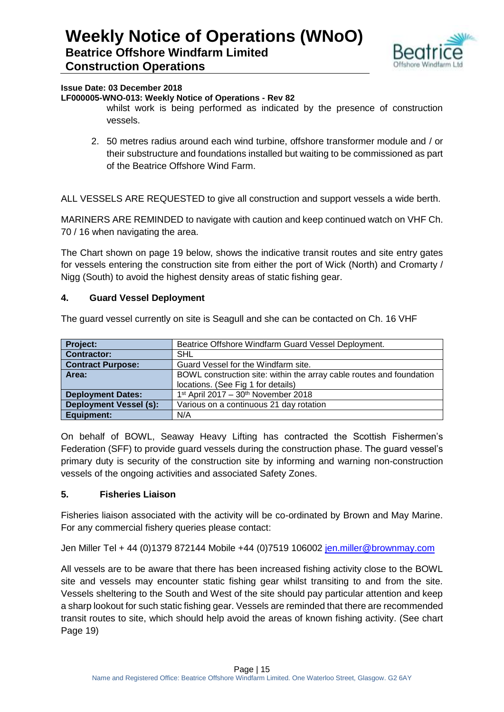

#### **Issue Date: 03 December 2018**

#### **LF000005-WNO-013: Weekly Notice of Operations - Rev 82**

whilst work is being performed as indicated by the presence of construction vessels.

2. 50 metres radius around each wind turbine, offshore transformer module and / or their substructure and foundations installed but waiting to be commissioned as part of the Beatrice Offshore Wind Farm.

ALL VESSELS ARE REQUESTED to give all construction and support vessels a wide berth.

MARINERS ARE REMINDED to navigate with caution and keep continued watch on VHF Ch. 70 / 16 when navigating the area.

The Chart shown on page 19 below, shows the indicative transit routes and site entry gates for vessels entering the construction site from either the port of Wick (North) and Cromarty / Nigg (South) to avoid the highest density areas of static fishing gear.

#### **4. Guard Vessel Deployment**

The guard vessel currently on site is Seagull and she can be contacted on Ch. 16 VHF **Project: Beatrice Offshore Windfarm Guard Vessel Deployment. Beatrice Offshore Windfarm Guard Vessel Deployment.** 

| Project:                      | Beatrice Offshore Windfarm Guard Vessel Deployment.                  |  |  |  |
|-------------------------------|----------------------------------------------------------------------|--|--|--|
| <b>Contractor:</b>            | SHL                                                                  |  |  |  |
| <b>Contract Purpose:</b>      | Guard Vessel for the Windfarm site.                                  |  |  |  |
| Area:                         | BOWL construction site: within the array cable routes and foundation |  |  |  |
|                               | locations. (See Fig 1 for details)                                   |  |  |  |
| <b>Deployment Dates:</b>      | $1st$ April 2017 – 30 <sup>th</sup> November 2018                    |  |  |  |
| <b>Deployment Vessel (s):</b> | Various on a continuous 21 day rotation                              |  |  |  |
| Equipment:                    | N/A                                                                  |  |  |  |

On behalf of BOWL, Seaway Heavy Lifting has contracted the Scottish Fishermen's Federation (SFF) to provide guard vessels during the construction phase. The guard vessel's primary duty is security of the construction site by informing and warning non-construction vessels of the ongoing activities and associated Safety Zones.

#### **5. Fisheries Liaison**

Fisheries liaison associated with the activity will be co-ordinated by Brown and May Marine. For any commercial fishery queries please contact:

Jen Miller Tel + 44 (0)1379 872144 Mobile +44 (0)7519 106002 [jen.miller@brownmay.com](mailto:jen.miller@brownmay.com)

All vessels are to be aware that there has been increased fishing activity close to the BOWL site and vessels may encounter static fishing gear whilst transiting to and from the site. Vessels sheltering to the South and West of the site should pay particular attention and keep a sharp lookout for such static fishing gear. Vessels are reminded that there are recommended transit routes to site, which should help avoid the areas of known fishing activity. (See chart Page 19)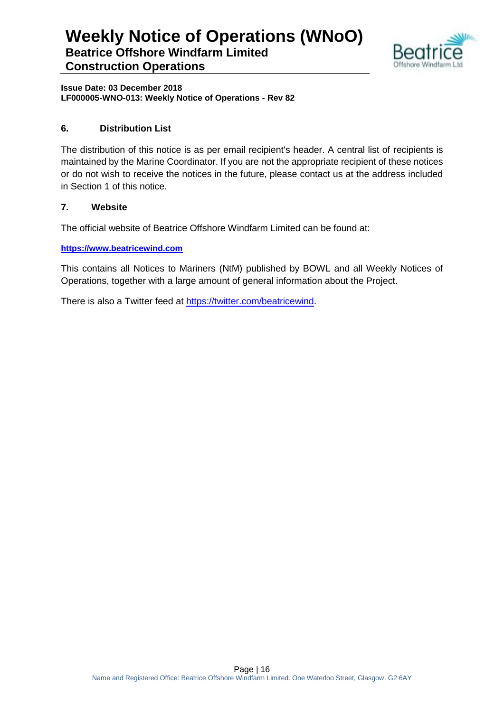

**Issue Date: 03 December 2018 LF000005-WNO-013: Weekly Notice of Operations - Rev 82**

#### **6. Distribution List**

The distribution of this notice is as per email recipient's header. A central list of recipients is maintained by the Marine Coordinator. If you are not the appropriate recipient of these notices or do not wish to receive the notices in the future, please contact us at the address included in Section 1 of this notice.

#### **7. Website**

The official website of Beatrice Offshore Windfarm Limited can be found at:

**[https://www.beatricewind.com](https://www.beatricewind.com/)**

This contains all Notices to Mariners (NtM) published by BOWL and all Weekly Notices of Operations, together with a large amount of general information about the Project.

There is also a Twitter feed at [https://twitter.com/beatricewind.](https://twitter.com/beatricewind)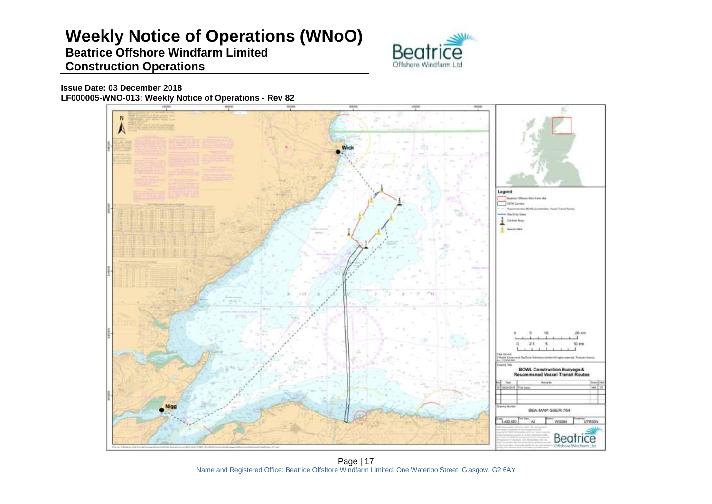### **Beatrice Offshore Windfarm Limited Construction Operations**



**Issue Date: 03 December 2018 LF000005-WNO-013: Weekly Notice of Operations - Rev 82**



Page | 17 Name and Registered Office: Beatrice Offshore Windfarm Limited. One Waterloo Street, Glasgow. G2 6AY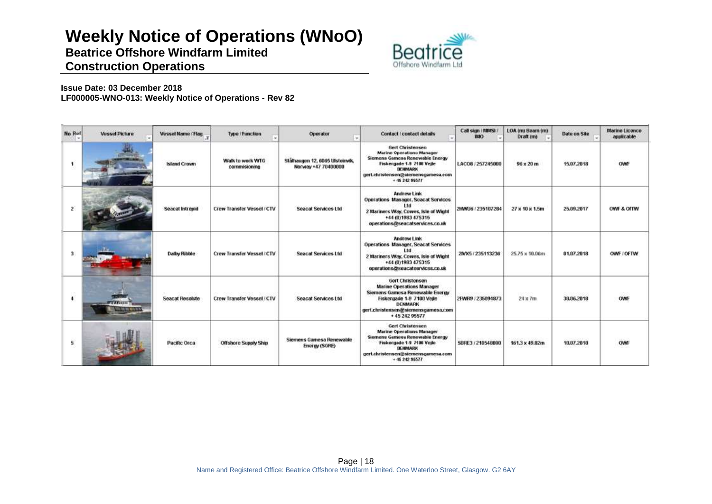**Beatrice Offshore Windfarm Limited Construction Operations**



#### **Issue Date: 03 December 2018 LF000005-WNO-013: Weekly Notice of Operations - Rev 82**

| No Rof               | <b>Vessel Picture</b>         | Vessel Name / Flag.    | Type / Function                  | Operator<br><b>Sec</b>                                 | Contact / contact details                                                                                                                                                                             | Call sign (MMSL)<br><b>IMO</b> | LOA (m) Beam (m)<br>Draft (m) | Date on Site | <b>Marine Licence</b><br>applicable |
|----------------------|-------------------------------|------------------------|----------------------------------|--------------------------------------------------------|-------------------------------------------------------------------------------------------------------------------------------------------------------------------------------------------------------|--------------------------------|-------------------------------|--------------|-------------------------------------|
|                      |                               | <b>Island Crown</b>    | Walk to work WTG<br>commisioning | Stälhaugen 12, 6065 Ulsteinvik,<br>Norway +47 70400000 | <b>Gert Christensen</b><br><b>Marine Operations Manager</b><br>Siemens Gamese Renewable Energy<br>Fiskergade 1-9 7100 Vejle<br>DEHMARK<br>gert.christensen@siemensgamesa.com<br>$+ 4524295577$        | LACO8 / 257245000              | $96 \times 20$ m              | 15.07.2018   |                                     |
| 2                    |                               | Seacat Intrepid        | Crew Transfer Vessel / CTV       | <b>Seacat Services Ltd</b>                             | Andrew Link<br>Operations Manager, Seacat Services<br>l fri<br>2 Mariners Way, Cowes, Isle of Wight<br>+44 (0) 1983 475315<br>operations@seacatservices.co.uk                                         | 2HWU6 / 235107284              | $27 \times 10 \times 1.5m$    | 25.09.2017   | OWE & OITW                          |
| 3                    |                               | Dalby Ribble           | Crew Transfer Vessel / CTV       | <b>Seacat Services Ltd</b>                             | Andrew Link<br><b>Operations Manager, Seacat Services</b><br>l tri<br>2 Mariners Way, Cowes, Isle of Wight<br>+44 (0) 1983 475315<br>operations@seacatservices.co.uk                                  | 2IVX5 / 235113236              | 25.75 x 10.06m                | 01.07.2018   | OWE COFTW                           |
| $\ddot{\phantom{a}}$ | 1111111<br><b>HE WE WELK!</b> | <b>Seacat Resolute</b> | Crew Transfer Vessel / CTV       | Seacat Services Ltd                                    | Gert Christensen<br><b>Marine Operations Manager</b><br>Siemens Gamesa Renewable Energy<br>Fiskergade 1-9 7100 Vejle<br><b>DENMARK</b><br>gert.christensen@siemensgamesa.com<br>+ 45 242 95577        | 2FWR9 / 235094873              | nzoch<br>$24 \times 7m$       | 38,86,2018   | OWF                                 |
| 5.                   |                               | Pacific Orca           | <b>Offshore Supply Ship</b>      | Siemens Gamesa Renewable<br>Energy (SGRE)              | <b>Gert Christensen</b><br><b>Marine Operations Manager</b><br>Siemens Gamesa Renewable Energy<br>Fiskergade 1-9 7100 Vejle<br><b>DENMARK</b><br>gert.christensen@siemensgamesa.com<br>$+ 4624295577$ | 5BRE3 / 210548000              | 161.3 x 49.02m                | 10.07.2018   | OWF                                 |